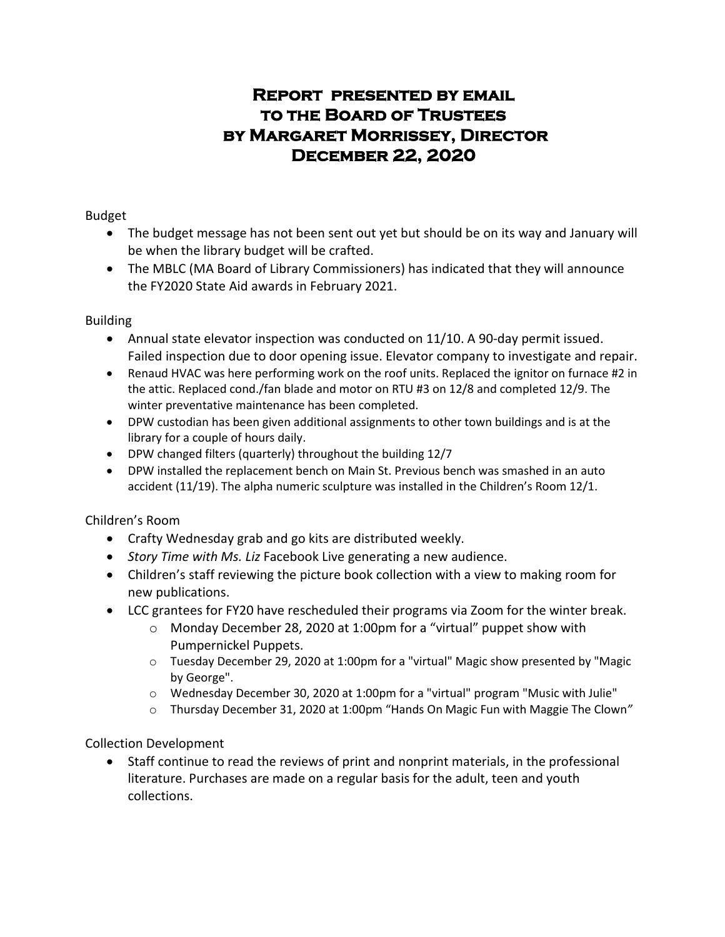# **Report presented by email to the Board of Trustees by Margaret Morrissey, Director December 22, 2020**

## Budget

- The budget message has not been sent out yet but should be on its way and January will be when the library budget will be crafted.
- The MBLC (MA Board of Library Commissioners) has indicated that they will announce the FY2020 State Aid awards in February 2021.

## Building

- Annual state elevator inspection was conducted on 11/10. A 90-day permit issued. Failed inspection due to door opening issue. Elevator company to investigate and repair.
- Renaud HVAC was here performing work on the roof units. Replaced the ignitor on furnace #2 in the attic. Replaced cond./fan blade and motor on RTU #3 on 12/8 and completed 12/9. The winter preventative maintenance has been completed.
- DPW custodian has been given additional assignments to other town buildings and is at the library for a couple of hours daily.
- DPW changed filters (quarterly) throughout the building 12/7
- DPW installed the replacement bench on Main St. Previous bench was smashed in an auto accident (11/19). The alpha numeric sculpture was installed in the Children's Room 12/1.

# Children's Room

- Crafty Wednesday grab and go kits are distributed weekly.
- *Story Time with Ms. Liz* Facebook Live generating a new audience.
- Children's staff reviewing the picture book collection with a view to making room for new publications.
- LCC grantees for FY20 have rescheduled their programs via Zoom for the winter break.
	- $\circ$  Monday December 28, 2020 at 1:00pm for a "virtual" puppet show with Pumpernickel Puppets.
	- o Tuesday December 29, 2020 at 1:00pm for a "virtual" Magic show presented by "Magic by George".
	- $\circ$  Wednesday December 30, 2020 at 1:00pm for a "virtual" program "Music with Julie"
	- o Thursday December 31, 2020 at 1:00pm "Hands On Magic Fun with Maggie The Clown*"*

# Collection Development

• Staff continue to read the reviews of print and nonprint materials, in the professional literature. Purchases are made on a regular basis for the adult, teen and youth collections.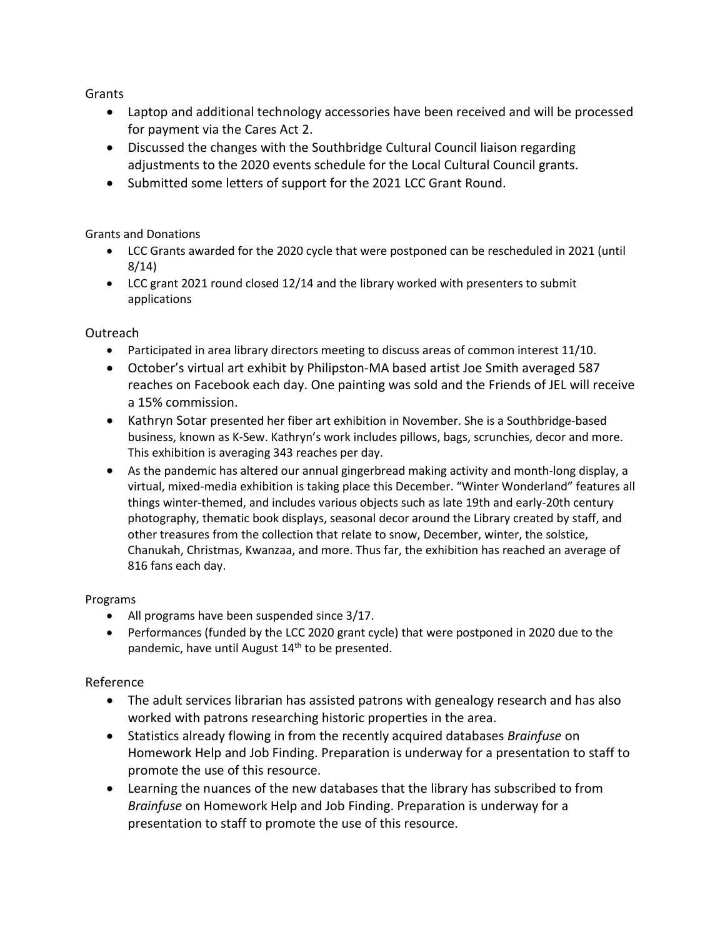Grants

- Laptop and additional technology accessories have been received and will be processed for payment via the Cares Act 2.
- Discussed the changes with the Southbridge Cultural Council liaison regarding adjustments to the 2020 events schedule for the Local Cultural Council grants.
- Submitted some letters of support for the 2021 LCC Grant Round.

### Grants and Donations

- LCC Grants awarded for the 2020 cycle that were postponed can be rescheduled in 2021 (until 8/14)
- LCC grant 2021 round closed 12/14 and the library worked with presenters to submit applications

## Outreach

- Participated in area library directors meeting to discuss areas of common interest 11/10.
- October's virtual art exhibit by Philipston-MA based artist Joe Smith averaged 587 reaches on Facebook each day. One painting was sold and the Friends of JEL will receive a 15% commission.
- Kathryn Sotar presented her fiber art exhibition in November. She is a Southbridge-based business, known as K-Sew. Kathryn's work includes pillows, bags, scrunchies, decor and more. This exhibition is averaging 343 reaches per day.
- As the pandemic has altered our annual gingerbread making activity and month-long display, a virtual, mixed-media exhibition is taking place this December. "Winter Wonderland" features all things winter-themed, and includes various objects such as late 19th and early-20th century photography, thematic book displays, seasonal decor around the Library created by staff, and other treasures from the collection that relate to snow, December, winter, the solstice, Chanukah, Christmas, Kwanzaa, and more. Thus far, the exhibition has reached an average of 816 fans each day.

#### Programs

- All programs have been suspended since 3/17.
- Performances (funded by the LCC 2020 grant cycle) that were postponed in 2020 due to the pandemic, have until August  $14<sup>th</sup>$  to be presented.

# Reference

- The adult services librarian has assisted patrons with genealogy research and has also worked with patrons researching historic properties in the area.
- Statistics already flowing in from the recently acquired databases *Brainfuse* on Homework Help and Job Finding. Preparation is underway for a presentation to staff to promote the use of this resource.
- Learning the nuances of the new databases that the library has subscribed to from *Brainfuse* on Homework Help and Job Finding. Preparation is underway for a presentation to staff to promote the use of this resource.